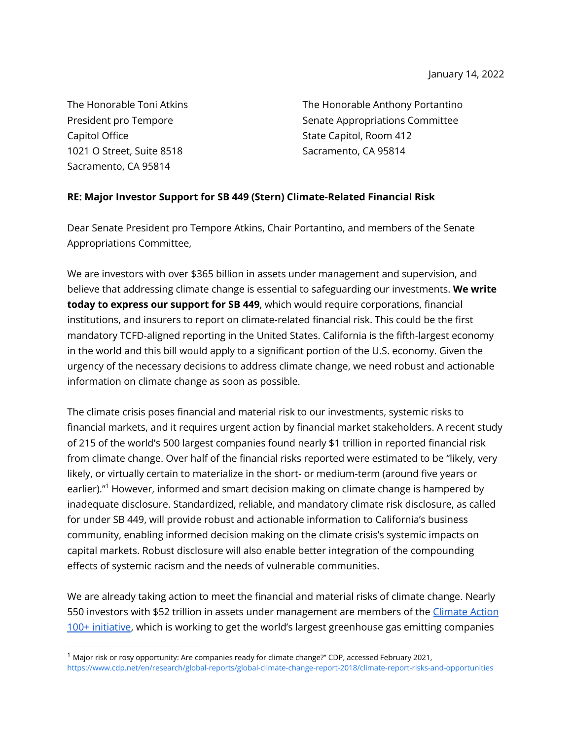The Honorable Toni Atkins President pro Tempore Capitol Office 1021 O Street, Suite 8518 Sacramento, CA 95814

The Honorable Anthony Portantino Senate Appropriations Committee State Capitol, Room 412 Sacramento, CA 95814

## **RE: Major Investor Support for SB 449 (Stern) Climate-Related Financial Risk**

Dear Senate President pro Tempore Atkins, Chair Portantino, and members of the Senate Appropriations Committee,

We are investors with over \$365 billion in assets under management and supervision, and believe that addressing climate change is essential to safeguarding our investments. **We write today to express our support for SB 449**, which would require corporations, financial institutions, and insurers to report on climate-related financial risk. This could be the first mandatory TCFD-aligned reporting in the United States. California is the fifth-largest economy in the world and this bill would apply to a significant portion of the U.S. economy. Given the urgency of the necessary decisions to address climate change, we need robust and actionable information on climate change as soon as possible.

The climate crisis poses financial and material risk to our investments, systemic risks to financial markets, and it requires urgent action by financial market stakeholders. A recent study of 215 of the world's 500 largest companies found nearly \$1 trillion in reported financial risk from climate change. Over half of the financial risks reported were estimated to be "likely, very likely, or virtually certain to materialize in the short- or medium-term (around five years or earlier)."<sup>1</sup> However, informed and smart decision making on climate change is hampered by inadequate disclosure. Standardized, reliable, and mandatory climate risk disclosure, as called for under SB 449, will provide robust and actionable information to California's business community, enabling informed decision making on the climate crisis's systemic impacts on capital markets. Robust disclosure will also enable better integration of the compounding effects of systemic racism and the needs of vulnerable communities.

We are already taking action to meet the financial and material risks of climate change. Nearly 550 investors with \$52 trillion in assets under management are members of the [Climate Action](https://www.climateaction100.org/) [100+ initiative](https://www.climateaction100.org/), which is working to get the world's largest greenhouse gas emitting companies

 $<sup>1</sup>$  Major risk or rosy opportunity: Are companies ready for climate change?" CDP, accessed February 2021,</sup> <https://www.cdp.net/en/research/global-reports/global-climate-change-report-2018/climate-report-risks-and-opportunities>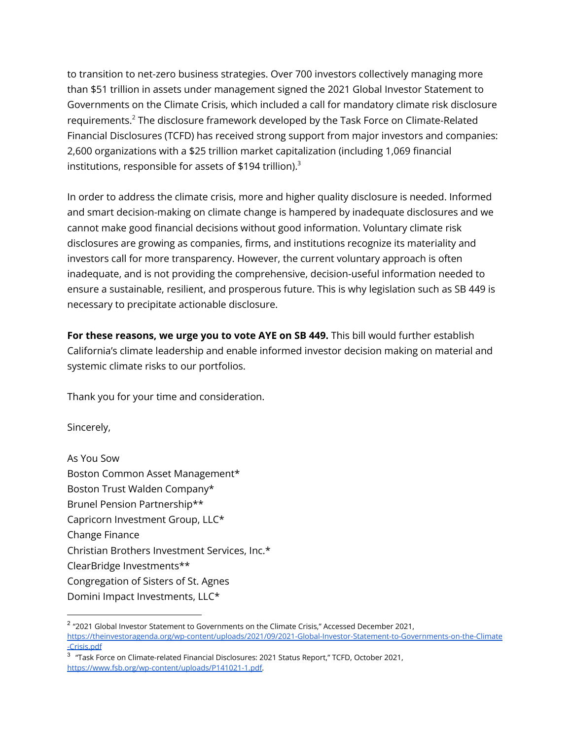to transition to net-zero business strategies. Over 700 investors collectively managing more than \$51 trillion in assets under management signed the 2021 Global Investor Statement to Governments on the Climate Crisis, which included a call for mandatory climate risk disclosure requirements.<sup>2</sup> The disclosure framework developed by the Task Force on Climate-Related Financial Disclosures (TCFD) has received strong support from major investors and companies: 2,600 organizations with a \$25 trillion market capitalization (including 1,069 financial institutions, responsible for assets of \$194 trillion).<sup>3</sup>

In order to address the climate crisis, more and higher quality disclosure is needed. Informed and smart decision-making on climate change is hampered by inadequate disclosures and we cannot make good financial decisions without good information. Voluntary climate risk disclosures are growing as companies, firms, and institutions recognize its materiality and investors call for more transparency. However, the current voluntary approach is often inadequate, and is not providing the comprehensive, decision-useful information needed to ensure a sustainable, resilient, and prosperous future. This is why legislation such as SB 449 is necessary to precipitate actionable disclosure.

**For these reasons, we urge you to vote AYE on SB 449.** This bill would further establish California's climate leadership and enable informed investor decision making on material and systemic climate risks to our portfolios.

Thank you for your time and consideration.

Sincerely,

As You Sow Boston Common Asset Management\* Boston Trust Walden Company\* Brunel Pension Partnership\*\* Capricorn Investment Group, LLC\* Change Finance Christian Brothers Investment Services, Inc.\* ClearBridge Investments\*\* Congregation of Sisters of St. Agnes Domini Impact Investments, LLC\*

<sup>&</sup>lt;sup>2</sup> "2021 Global Investor Statement to Governments on the Climate Crisis," Accessed December 2021, [https://theinvestoragenda.org/wp-content/uploads/2021/09/2021-Global-Investor-Statement-to-Governments-on-the-Climate](https://theinvestoragenda.org/wp-content/uploads/2021/09/2021-Global-Investor-Statement-to-Governments-on-the-Climate-Crisis.pdf) [-Crisis.pdf](https://theinvestoragenda.org/wp-content/uploads/2021/09/2021-Global-Investor-Statement-to-Governments-on-the-Climate-Crisis.pdf)

 $^3$   $\,$  "Task Force on Climate-related Financial Disclosures: 2021 Status Report," TCFD, October 2021, [https://www.fsb.org/wp-content/uploads/P141021-1.pdf.](https://www.fsb.org/wp-content/uploads/P141021-1.pdf)